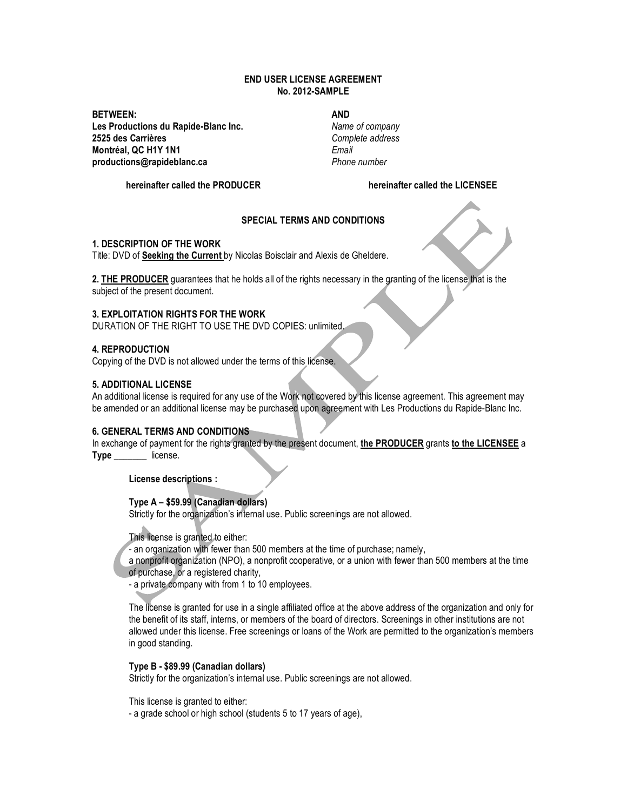## **END USER LICENSE AGREEMENT No. 2012-SAMPLE**

**BETWEEN: Les Productions du Rapide-Blanc Inc. 2525 des Carrières Montréal, QC H1Y 1N1 productions@rapideblanc.ca**

# **AND**

*Name of company Complete address Email Phone number*

**hereinafter called the PRODUCER**

**hereinafter called the LICENSEE**

# **SPECIAL TERMS AND CONDITIONS**

### **1. DESCRIPTION OF THE WORK**

Title: DVD of **Seeking the Current** by Nicolas Boisclair and Alexis de Gheldere.

**2. THE PRODUCER** guarantees that he holds all of the rights necessary in the granting of the license that is the subject of the present document.

### **3. EXPLOITATION RIGHTS FOR THE WORK**

DURATION OF THE RIGHT TO USE THE DVD COPIES: unlimited.

## **4. REPRODUCTION**

Copying of the DVD is not allowed under the terms of this license.

## **5. ADDITIONAL LICENSE**

An additional license is required for any use of the Work not covered by this license agreement. This agreement may be amended or an additional license may be purchased upon agreement with Les Productions du Rapide-Blanc Inc.

### **6. GENERAL TERMS AND CONDITIONS**

In exchange of payment for the rights granted by the present document, **the PRODUCER** grants **to the LICENSEE** a **Type \_\_\_\_\_\_\_** license.

**License descriptions :** 

**Type A – \$59.99 (Canadian dollars)**

Strictly for the organization's internal use. Public screenings are not allowed.

This license is granted to either:

- an organization with fewer than 500 members at the time of purchase; namely,

a nonprofit organization (NPO), a nonprofit cooperative, or a union with fewer than 500 members at the time of purchase, or a registered charity,

- a private company with from 1 to 10 employees.

The license is granted for use in a single affiliated office at the above address of the organization and only for the benefit of its staff, interns, or members of the board of directors. Screenings in other institutions are not allowed under this license. Free screenings or loans of the Work are permitted to the organization's members in good standing.

### **Type B - \$89.99 (Canadian dollars)**

Strictly for the organization's internal use. Public screenings are not allowed.

This license is granted to either:

- a grade school or high school (students 5 to 17 years of age),